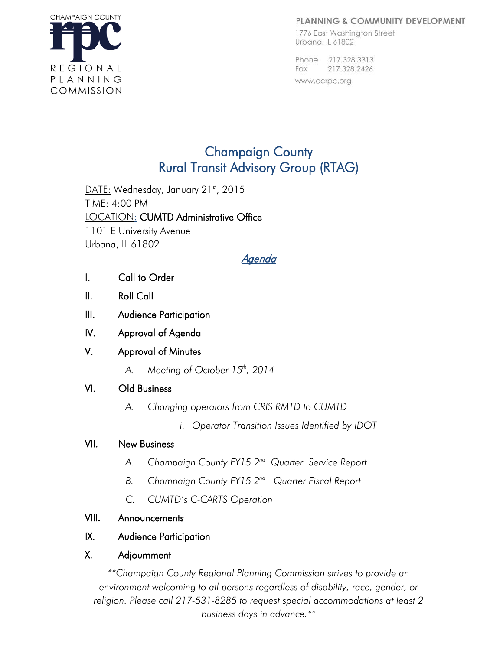#### **PLANNING & COMMUNITY DEVELOPMENT**



1776 East Washington Street Urbana, IL 61802

Phone 217.328.3313 217.328.2426 Fax www.ccrpc.org

# Champaign County Rural Transit Advisory Group (RTAG)

DATE: Wednesday, January 21st, 2015 TIME: 4:00 PM LOCATION: CUMTD Administrative Office 1101 E University Avenue Urbana, IL 61802

# Agenda

- I. Call to Order
- II. Roll Call
- III. Audience Participation
- IV. Approval of Agenda

## V. Approval of Minutes

A. Meeting of October 15<sup>th</sup>, 2014

## VI. Old Business

- *A. Changing operators from CRIS RMTD to CUMTD* 
	- *i. Operator Transition Issues Identified by IDOT*

## VII. New Business

- *A. Champaign County FY15 2nd Quarter Service Report*
- *B. Champaign County FY15 2nd Quarter Fiscal Report*
- *C. CUMTD's C-CARTS Operation*

# VIII. Announcements

# IX. Audience Participation

# X. Adjournment

*\*\*Champaign County Regional Planning Commission strives to provide an environment welcoming to all persons regardless of disability, race, gender, or religion. Please call 217-531-8285 to request special accommodations at least 2 business days in advance.\*\**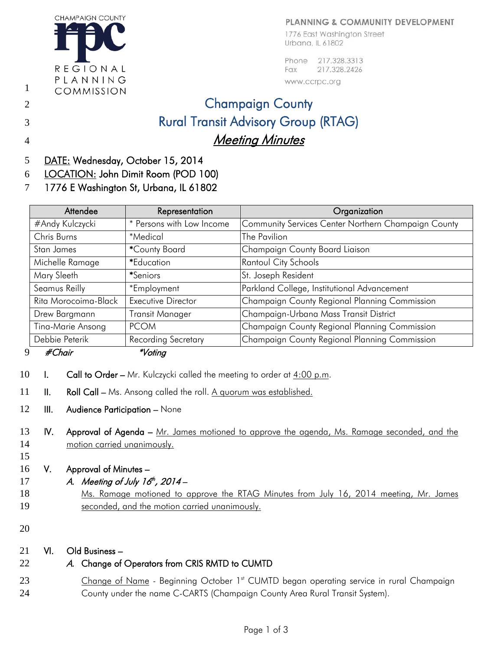#### PLANNING & COMMUNITY DEVELOPMENT

1776 East Washington Street Urbana, IL 61802

Phone 217.328.3313 217.328.2426 Fax

#### www.ccrpc.org

# 2 **Champaign County** 3 Rural Transit Advisory Group (RTAG) 4 Meeting Minutes

5 DATE: Wednesday, October 15, 2014

**CHAMPAIGN COUNTY** 

REGIONAL

PLANNING

COMMISSION

- 6 LOCATION: John Dimit Room (POD 100)
- 7 1776 E Washington St, Urbana, IL 61802

| * Persons with Low Income  | Community Services Center Northern Champaign County |
|----------------------------|-----------------------------------------------------|
|                            |                                                     |
| *Medical                   | The Pavilion                                        |
| *County Board              | Champaign County Board Liaison                      |
| *Education                 | Rantoul City Schools                                |
| <i>*Seniors</i>            | St. Joseph Resident                                 |
| *Employment                | Parkland College, Institutional Advancement         |
| <b>Executive Director</b>  | Champaign County Regional Planning Commission       |
| <b>Transit Manager</b>     | Champaign-Urbana Mass Transit District              |
| <b>PCOM</b>                | Champaign County Regional Planning Commission       |
| <b>Recording Secretary</b> | Champaign County Regional Planning Commission       |
|                            | $\star$ $\prime$ $\cdot$                            |

#### 9 #Chair \*Voting

- 10 I. Call to Order Mr. Kulczycki called the meeting to order at  $4:00$  p.m.
- 11 II. Roll Call Ms. Ansong called the roll. A quorum was established.
- 12 **III.** Audience Participation None
- 13 IV. Approval of Agenda Mr. James motioned to approve the agenda, Ms. Ramage seconded, and the 14 motion carried unanimously.
- 16 V. Approval of Minutes –
- 17 A. Meeting of July  $16<sup>th</sup>$ , 2014 –
- 18 Ms. Ramage motioned to approve the RTAG Minutes from July 16, 2014 meeting, Mr. James 19 seconded, and the motion carried unanimously.
- 20

15

1

#### 21 VI. Old Business –

## 22 A. Change of Operators from CRIS RMTD to CUMTD

23 Change of Name - Beginning October 1<sup>st</sup> CUMTD began operating service in rural Champaign 24 County under the name C-CARTS (Champaign County Area Rural Transit System).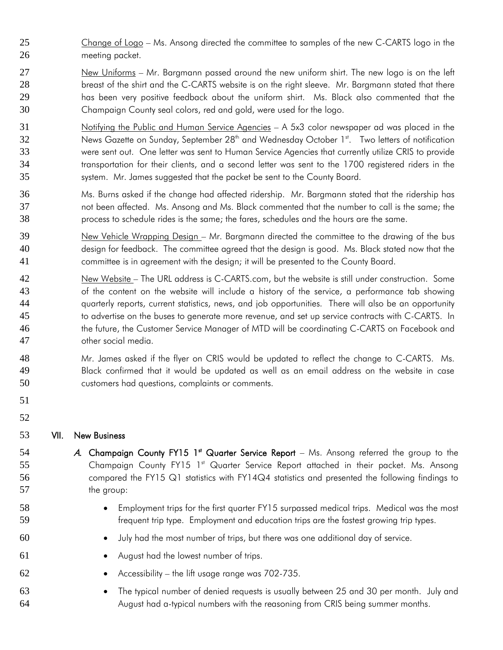- Change of Logo Ms. Ansong directed the committee to samples of the new C-CARTS logo in the 26 meeting packet.
- New Uniforms Mr. Bargmann passed around the new uniform shirt. The new logo is on the left 28 breast of the shirt and the C-CARTS website is on the right sleeve. Mr. Bargmann stated that there has been very positive feedback about the uniform shirt. Ms. Black also commented that the Champaign County seal colors, red and gold, were used for the logo.
- Notifying the Public and Human Service Agencies A 5x3 color newspaper ad was placed in the 32 News Gazette on Sunday, September 28<sup>th</sup> and Wednesday October 1<sup>st</sup>. Two letters of notification were sent out. One letter was sent to Human Service Agencies that currently utilize CRIS to provide transportation for their clients, and a second letter was sent to the 1700 registered riders in the system. Mr. James suggested that the packet be sent to the County Board.
- Ms. Burns asked if the change had affected ridership. Mr. Bargmann stated that the ridership has not been affected. Ms. Ansong and Ms. Black commented that the number to call is the same; the process to schedule rides is the same; the fares, schedules and the hours are the same.
- New Vehicle Wrapping Design Mr. Bargmann directed the committee to the drawing of the bus design for feedback. The committee agreed that the design is good. Ms. Black stated now that the committee is in agreement with the design; it will be presented to the County Board.
- New Website The URL address is C-CARTS.com, but the website is still under construction. Some of the content on the website will include a history of the service, a performance tab showing quarterly reports, current statistics, news, and job opportunities. There will also be an opportunity to advertise on the buses to generate more revenue, and set up service contracts with C-CARTS. In 46 the future, the Customer Service Manager of MTD will be coordinating C-CARTS on Facebook and other social media.
- Mr. James asked if the flyer on CRIS would be updated to reflect the change to C-CARTS. Ms. Black confirmed that it would be updated as well as an email address on the website in case customers had questions, complaints or comments.
- 

#### 

#### VII. New Business

- 54  $\cdots$  A. Champaign County FY15 1<sup>st</sup> Quarter Service Report Ms. Ansong referred the group to the 55 Champaign County FY15 1<sup>st</sup> Quarter Service Report attached in their packet. Ms. Ansong 56 compared the FY15 Q1 statistics with FY14Q4 statistics and presented the following findings to 57 the group:
- Employment trips for the first quarter FY15 surpassed medical trips. Medical was the most frequent trip type. Employment and education trips are the fastest growing trip types.
- July had the most number of trips, but there was one additional day of service.
- August had the lowest number of trips.
- Accessibility the lift usage range was 702-735.
- The typical number of denied requests is usually between 25 and 30 per month. July and August had a-typical numbers with the reasoning from CRIS being summer months.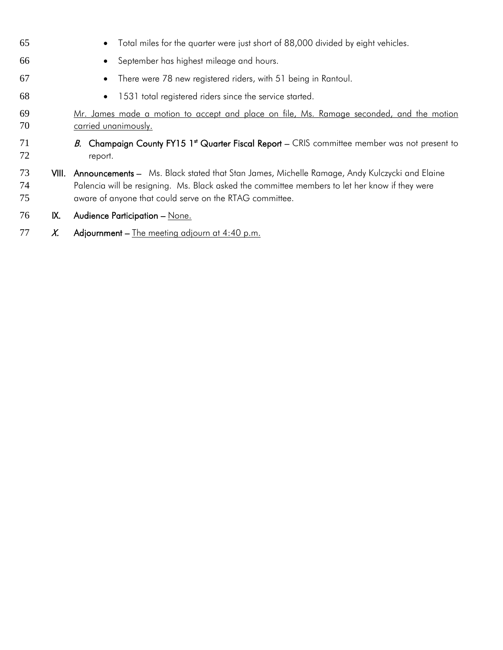| 65             |       | Total miles for the quarter were just short of 88,000 divided by eight vehicles.<br>$\bullet$                                                                                                                                                             |
|----------------|-------|-----------------------------------------------------------------------------------------------------------------------------------------------------------------------------------------------------------------------------------------------------------|
| 66             |       | September has highest mileage and hours.<br>$\bullet$                                                                                                                                                                                                     |
| 67             |       | There were 78 new registered riders, with 51 being in Rantoul.                                                                                                                                                                                            |
| 68             |       | 1531 total registered riders since the service started.<br>$\bullet$                                                                                                                                                                                      |
| 69<br>70       |       | Mr. James made a motion to accept and place on file, Ms. Ramage seconded, and the motion<br><u>carried unanimously.</u>                                                                                                                                   |
| 71<br>72       |       | B. Champaign County FY15 1 <sup>st</sup> Quarter Fiscal Report – CRIS committee member was not present to<br>report.                                                                                                                                      |
| 73<br>74<br>75 | VIII. | Announcements - Ms. Black stated that Stan James, Michelle Ramage, Andy Kulczycki and Elaine<br>Palencia will be resigning. Ms. Black asked the committee members to let her know if they were<br>aware of anyone that could serve on the RTAG committee. |
| 76             | IX.   | Audience Participation - None.                                                                                                                                                                                                                            |
| 77             | X.    | Adjournment – The meeting adjourn at $4:40$ p.m.                                                                                                                                                                                                          |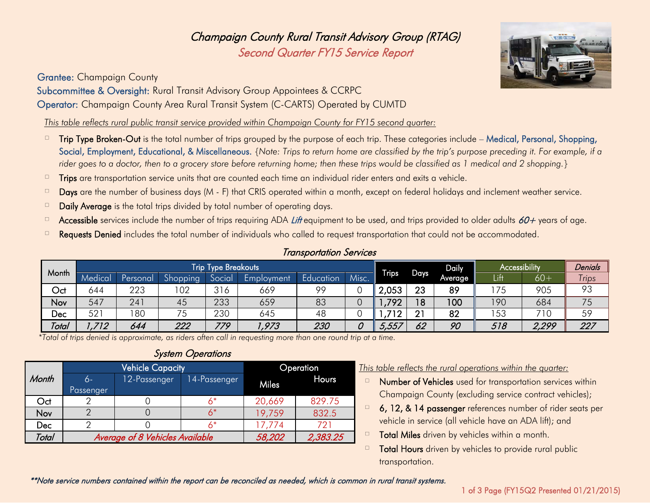Champaign County Rural Transit Advisory Group (RTAG) Second Quarter FY15 Service Report

Grantee: Champaign County

Subcommittee & Oversight: Rural Transit Advisory Group Appointees & CCRPC Operator: Champaign County Area Rural Transit System (C-CARTS) Operated by CUMTD

*This table reflects rural public transit service provided within Champaign County for FY15 second quarter:*

- $\Box$  Trip Type Broken-Out is the total number of trips grouped by the purpose of each trip. These categories include Medical, Personal, Shopping, Social, Employment, Educational, & Miscellaneous. *{Note: Trips to return home are classified by the trip's purpose preceding it. For example, if a rider goes to a doctor, then to a grocery store before returning home; then these trips would be classified as 1 medical and 2 shopping.}*
- $\Box$  Trips are transportation service units that are counted each time an individual rider enters and exits a vehicle.
- $\Box$  Days are the number of business days (M F) that CRIS operated within a month, except on federal holidays and inclement weather service.
- $\Box$  Daily Average is the total trips divided by total number of operating days.
- Accessible services include the number of trips requiring ADA Lift equipment to be used, and trips provided to older adults 60+ years of age.
- <sup> $\Box$ </sup> Requests Denied includes the total number of individuals who called to request transportation that could not be accommodated.

| <b>Transportation Services</b> |  |
|--------------------------------|--|
|--------------------------------|--|

|       | <b>Trip Type Breakouts</b> |          |                                 |       |            |           |       |              | Daily           | <b>Accessibility</b> |      | Denials |              |
|-------|----------------------------|----------|---------------------------------|-------|------------|-----------|-------|--------------|-----------------|----------------------|------|---------|--------------|
| Month | Medical                    | Personal | $\mathsf{C}$<br><b>Shopping</b> | Socia | Employment | Education | Misc. | <b>Trips</b> | <b>Days</b>     | Average              | Lift | $60+$   | <b>Trips</b> |
| Oct   | 644                        | 223      | 102                             | 316   | 669        | oo        |       | 2,053        | 23              | 89                   | 75   | 905     | 93           |
| Nov   | 547                        | 24       | 45                              | 233   | 659        | 83        |       | ,792         | 18 <sup>°</sup> | 100                  | 190  | 684     | 75           |
| Dec   | 521                        | 180      | フに<br>ັ                         | 230   | 645        | 48        |       | 712          | 21              | 82                   | 153  | 710     | 59           |
| Total | 712                        | 644      | 222                             | 779   | 1,973      | 230       | 0     | 5,557        | 62              | 90                   | 518  | 2,299   | 227          |

 *\*Total of trips denied is approximate, as riders often call in requesting more than one round trip at a time.*

# System Operations

|       |           | <b>Vehicle Capacity</b>                | <b>Operation</b> |              |        |  |
|-------|-----------|----------------------------------------|------------------|--------------|--------|--|
| Month | 6-        | 12-Passenger                           | 14-Passenger     | <b>Miles</b> | Hours  |  |
|       | Passenger |                                        |                  |              |        |  |
| Oct   |           |                                        | 6*               | 20,669       | 829.75 |  |
| Nov   |           |                                        | 6*               | 19,759       | 832.5  |  |
| Dec   |           |                                        | 17,774           | 721          |        |  |
| Total |           | <b>Average of 8 Vehicles Available</b> | 58,202           | 2,383.25     |        |  |

#### This table reflects the rural operations within the quarter:

- $\Box$  Number of Vehicles used for transportation services within Champaign County (excluding service contract vehicles);
- $\Box$  6, 12, & 14 passenger references number of rider seats per vehicle in service (all vehicle have an ADA lift); and
- Total Miles driven by vehicles within a month.
- $\Box$  Total Hours driven by vehicles to provide rural public transportation.

\*\*Note service numbers contained within the report can be reconciled as needed, which is common in rural transit systems.

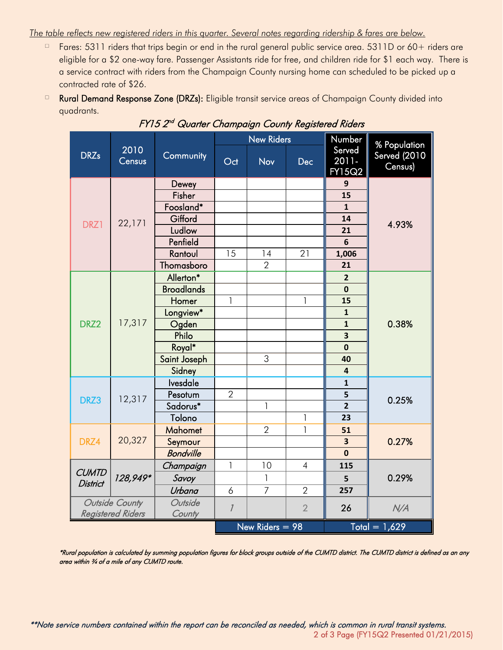#### *The table reflects new registered riders in this quarter. Several notes regarding ridership & fares are below.*

- Fares: 5311 riders that trips begin or end in the rural general public service area. 5311D or 60+ riders are eligible for a \$2 one-way fare. Passenger Assistants ride for free, and children ride for \$1 each way. There is a service contract with riders from the Champaign County nursing home can scheduled to be picked up a contracted rate of \$26.
- □ Rural Demand Response Zone (DRZs): Eligible transit service areas of Champaign County divided into quadrants.

|                                 |                          |                   |                | <b>New Riders</b> |                | Number                    | % Population                   |  |
|---------------------------------|--------------------------|-------------------|----------------|-------------------|----------------|---------------------------|--------------------------------|--|
| 2010<br><b>DRZs</b><br>Census   |                          | Community         | Oct            | <b>Nov</b>        | <b>Dec</b>     | Served<br>2011-<br>FY15Q2 | <b>Served</b> (2010<br>Census) |  |
|                                 |                          | Dewey             |                |                   |                | 9                         |                                |  |
|                                 |                          | Fisher            |                |                   |                | 15                        |                                |  |
|                                 |                          | Foosland*         |                |                   |                | $\mathbf{1}$              |                                |  |
| DRZ1                            | 22,171                   | Gifford           |                |                   |                | 14                        | 4.93%                          |  |
|                                 |                          | Ludlow            |                |                   |                | 21                        |                                |  |
|                                 |                          | Penfield          |                |                   |                | 6                         |                                |  |
|                                 |                          | Rantoul           | 15             | 14                | 21             | 1,006                     |                                |  |
|                                 |                          | Thomasboro        |                | $\overline{2}$    |                | 21                        |                                |  |
|                                 |                          | Allerton*         |                |                   |                | $\overline{2}$            |                                |  |
|                                 |                          | <b>Broadlands</b> |                |                   |                | $\mathbf 0$               |                                |  |
|                                 | 17,317                   | Homer             | $\mathbf{1}$   |                   | 1              | 15                        |                                |  |
|                                 |                          | Longview*         |                |                   |                | $\mathbf{1}$              |                                |  |
| DRZ2                            |                          | Ogden             |                |                   |                | $\mathbf{1}$              | 0.38%                          |  |
|                                 |                          | Philo             |                |                   |                | $\overline{\mathbf{3}}$   |                                |  |
|                                 |                          | Royal*            |                |                   |                | $\mathbf 0$               |                                |  |
|                                 |                          | Saint Joseph      |                | 3                 |                | 40                        |                                |  |
|                                 |                          | Sidney            |                |                   |                | $\overline{\mathbf{4}}$   |                                |  |
|                                 | 12,317                   | Ivesdale          |                |                   |                | $\mathbf{1}$              |                                |  |
| DRZ3                            |                          | Pesotum           | $\overline{2}$ |                   |                | 5                         | 0.25%                          |  |
|                                 |                          | Sadorus*          |                | 1                 |                | $\overline{2}$            |                                |  |
|                                 |                          | Tolono            |                |                   | 1              | 23                        |                                |  |
|                                 |                          | <b>Mahomet</b>    |                | $\overline{2}$    | $\mathbf{1}$   | 51                        |                                |  |
| DRZ4                            | 20,327                   | Seymour           |                |                   |                | $\overline{\mathbf{3}}$   | 0.27%                          |  |
|                                 |                          | <b>Bondville</b>  |                |                   |                | $\mathbf 0$               |                                |  |
|                                 |                          | Champaign         | $\mathbf{1}$   | 10                | $\overline{4}$ | 115                       |                                |  |
| <b>CUMTD</b><br><b>District</b> | 128,949*                 | Savoy             |                | $\mathsf{I}$      |                | 5                         | 0.29%                          |  |
|                                 |                          | Urbana            | 6              | $\overline{7}$    | $\overline{2}$ | 257                       |                                |  |
|                                 | Outside County           | Outside           | $\overline{1}$ |                   | $\overline{2}$ | 26                        | N/A                            |  |
|                                 | <b>Registered Riders</b> | County            |                |                   |                |                           |                                |  |
|                                 |                          |                   |                | New Riders $= 98$ |                |                           | Total = $1,629$                |  |

FY15 2<sup>nd</sup> Quarter Champaign County Registered Riders

\*Rural population is calculated by summing population figures for block groups outside of the CUMTD district. The CUMTD district is defined as an any area within 3/4 of a mile of any CUMTD route.